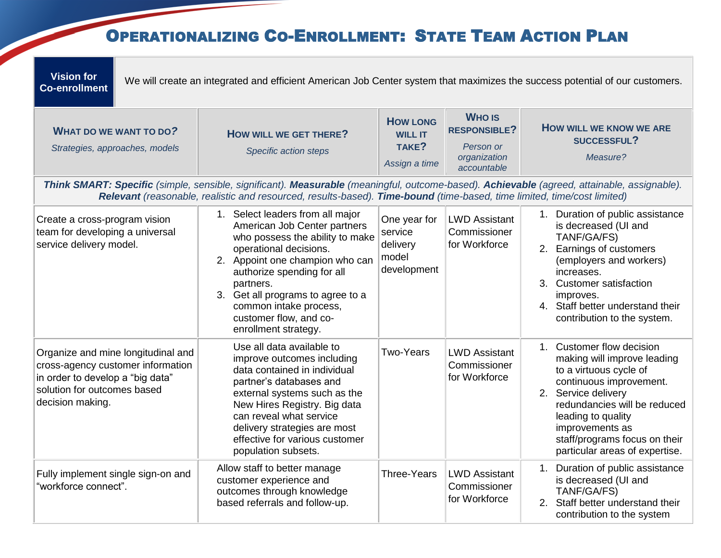## OPERATIONALIZING CO-ENROLLMENT: STATE TEAM ACTION PLAN

| <b>Vision for</b><br><b>Co-enrollment</b>                                                                                                                                                                                                                              |  | We will create an integrated and efficient American Job Center system that maximizes the success potential of our customers.                                                                                                                                                                                                 |                                                             |                                                                                  |                                                                                                                                                                                                                                                                                  |  |  |
|------------------------------------------------------------------------------------------------------------------------------------------------------------------------------------------------------------------------------------------------------------------------|--|------------------------------------------------------------------------------------------------------------------------------------------------------------------------------------------------------------------------------------------------------------------------------------------------------------------------------|-------------------------------------------------------------|----------------------------------------------------------------------------------|----------------------------------------------------------------------------------------------------------------------------------------------------------------------------------------------------------------------------------------------------------------------------------|--|--|
| <b>WHAT DO WE WANT TO DO?</b><br>Strategies, approaches, models                                                                                                                                                                                                        |  | <b>HOW WILL WE GET THERE?</b><br>Specific action steps                                                                                                                                                                                                                                                                       | <b>HOW LONG</b><br><b>WILL IT</b><br>TAKE?<br>Assign a time | <b>WHO IS</b><br><b>RESPONSIBLE?</b><br>Person or<br>organization<br>accountable | <b>HOW WILL WE KNOW WE ARE</b><br>SUCCESSFUL?<br>Measure?                                                                                                                                                                                                                        |  |  |
| Think SMART: Specific (simple, sensible, significant). Measurable (meaningful, outcome-based). Achievable (agreed, attainable, assignable).<br>Relevant (reasonable, realistic and resourced, results-based). Time-bound (time-based, time limited, time/cost limited) |  |                                                                                                                                                                                                                                                                                                                              |                                                             |                                                                                  |                                                                                                                                                                                                                                                                                  |  |  |
| Create a cross-program vision<br>team for developing a universal<br>service delivery model.                                                                                                                                                                            |  | 1. Select leaders from all major<br>American Job Center partners<br>who possess the ability to make<br>operational decisions.<br>2. Appoint one champion who can<br>authorize spending for all<br>partners.<br>3. Get all programs to agree to a<br>common intake process,<br>customer flow, and co-<br>enrollment strategy. | One year for<br>service<br>delivery<br>model<br>development | <b>LWD Assistant</b><br>Commissioner<br>for Workforce                            | 1. Duration of public assistance<br>is decreased (UI and<br>TANF/GA/FS)<br>2. Earnings of customers<br>(employers and workers)<br>increases.<br>3. Customer satisfaction<br>improves.<br>4. Staff better understand their<br>contribution to the system.                         |  |  |
| Organize and mine longitudinal and<br>cross-agency customer information<br>in order to develop a "big data"<br>solution for outcomes based<br>decision making.                                                                                                         |  | Use all data available to<br>improve outcomes including<br>data contained in individual<br>partner's databases and<br>external systems such as the<br>New Hires Registry. Big data<br>can reveal what service<br>delivery strategies are most<br>effective for various customer<br>population subsets.                       | <b>Two-Years</b>                                            | <b>LWD Assistant</b><br>Commissioner<br>for Workforce                            | 1. Customer flow decision<br>making will improve leading<br>to a virtuous cycle of<br>continuous improvement.<br>2. Service delivery<br>redundancies will be reduced<br>leading to quality<br>improvements as<br>staff/programs focus on their<br>particular areas of expertise. |  |  |
| Fully implement single sign-on and<br>"workforce connect".                                                                                                                                                                                                             |  | Allow staff to better manage<br>customer experience and<br>outcomes through knowledge<br>based referrals and follow-up.                                                                                                                                                                                                      | <b>Three-Years</b>                                          | <b>LWD Assistant</b><br>Commissioner<br>for Workforce                            | 1. Duration of public assistance<br>is decreased (UI and<br>TANF/GA/FS)<br>2. Staff better understand their<br>contribution to the system                                                                                                                                        |  |  |